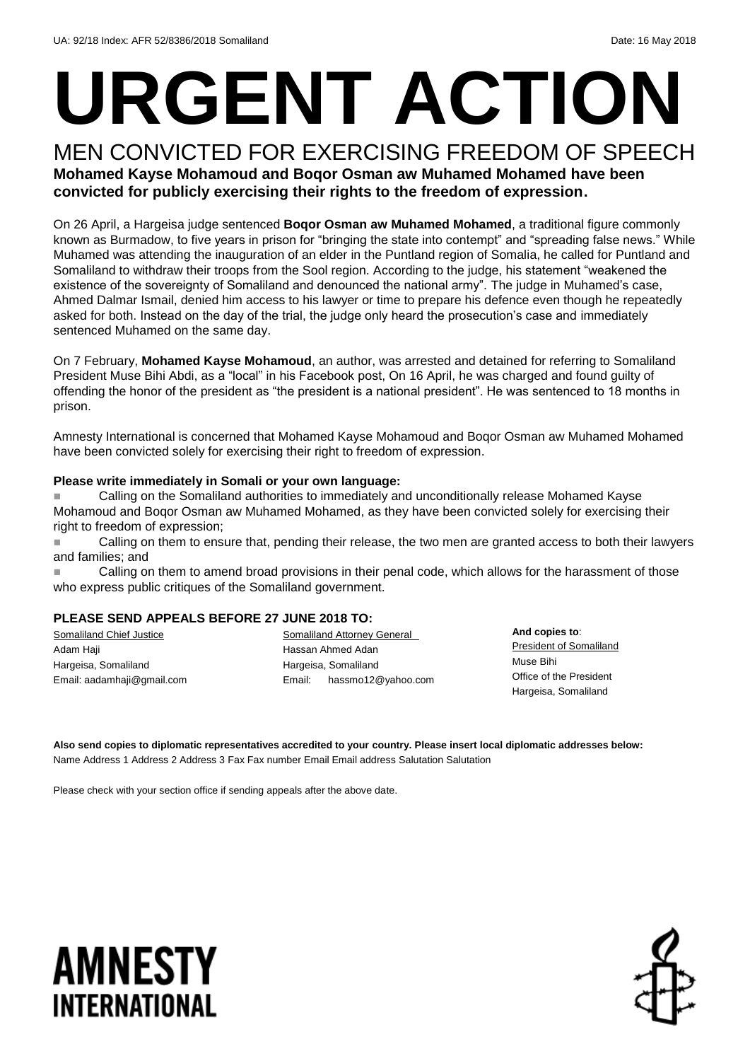# **URGENT ACTION**

#### MEN CONVICTED FOR EXERCISING FREEDOM OF SPEECH **Mohamed Kayse Mohamoud and Boqor Osman aw Muhamed Mohamed have been convicted for publicly exercising their rights to the freedom of expression.**

On 26 April, a Hargeisa judge sentenced **Boqor Osman aw Muhamed Mohamed**, a traditional figure commonly known as Burmadow, to five years in prison for "bringing the state into contempt" and "spreading false news." While Muhamed was attending the inauguration of an elder in the Puntland region of Somalia, he called for Puntland and Somaliland to withdraw their troops from the Sool region. According to the judge, his statement "weakened the existence of the sovereignty of Somaliland and denounced the national army". The judge in Muhamed's case, Ahmed Dalmar Ismail, denied him access to his lawyer or time to prepare his defence even though he repeatedly asked for both. Instead on the day of the trial, the judge only heard the prosecution's case and immediately sentenced Muhamed on the same day.

On 7 February, **Mohamed Kayse Mohamoud**, an author, was arrested and detained for referring to Somaliland President Muse Bihi Abdi, as a "local" in his Facebook post, On 16 April, he was charged and found guilty of offending the honor of the president as "the president is a national president". He was sentenced to 18 months in prison.

Amnesty International is concerned that Mohamed Kayse Mohamoud and Boqor Osman aw Muhamed Mohamed have been convicted solely for exercising their right to freedom of expression.

#### **Please write immediately in Somali or your own language:**

 Calling on the Somaliland authorities to immediately and unconditionally release Mohamed Kayse Mohamoud and Boqor Osman aw Muhamed Mohamed, as they have been convicted solely for exercising their right to freedom of expression;

**Example 2** Calling on them to ensure that, pending their release, the two men are granted access to both their lawyers and families; and

**Example 2** Calling on them to amend broad provisions in their penal code, which allows for the harassment of those who express public critiques of the Somaliland government.

#### **PLEASE SEND APPEALS BEFORE 27 JUNE 2018 TO:**

Somaliland Chief Justice Adam Haji Hargeisa, Somaliland Email: [aadamhaji@gmail.com](mailto:aadamhaji@gmail.com) **Somaliland Attorney General** Hassan Ahmed Adan Hargeisa, Somaliland Email: [hassmo12@yahoo.com](mailto:hassmo12@yahoo.com)

**And copies to**: President of Somaliland Muse Bihi Office of the President Hargeisa, Somaliland

**Also send copies to diplomatic representatives accredited to your country. Please insert local diplomatic addresses below:** Name Address 1 Address 2 Address 3 Fax Fax number Email Email address Salutation Salutation

Please check with your section office if sending appeals after the above date.